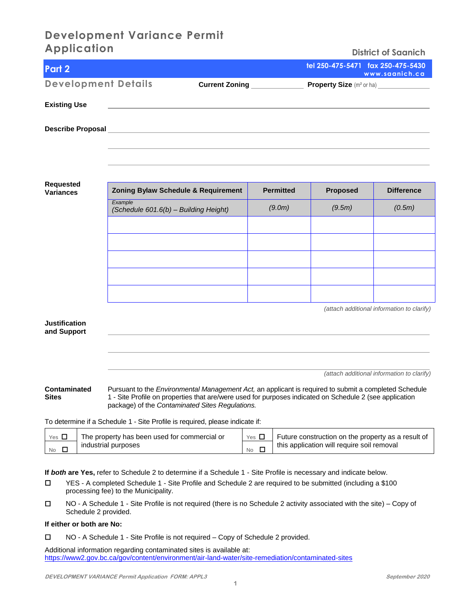## **Development Variance Permit Application**

| <b>Application</b>                                                                                             |                       | <b>District of Saanich</b>                          |
|----------------------------------------------------------------------------------------------------------------|-----------------------|-----------------------------------------------------|
| Part 2                                                                                                         |                       | tel 250-475-5471 fax 250-475-5430<br>www.saanich.ca |
| <b>Development Details</b>                                                                                     | <b>Current Zoning</b> |                                                     |
| <b>Existing Use</b>                                                                                            |                       |                                                     |
| Describe Proposal entrance and the contract of the contract of the contract of the contract of the contract of |                       |                                                     |
|                                                                                                                |                       |                                                     |
|                                                                                                                |                       |                                                     |

**Requested Variances** 

| <b>Zoning Bylaw Schedule &amp; Requirement</b>   | <b>Permitted</b> | <b>Proposed</b> | <b>Difference</b> |
|--------------------------------------------------|------------------|-----------------|-------------------|
| Example<br>(Schedule 601.6(b) - Building Height) | (9.0m)           | (9.5m)          | (0.5m)            |
|                                                  |                  |                 |                   |
|                                                  |                  |                 |                   |
|                                                  |                  |                 |                   |
|                                                  |                  |                 |                   |
|                                                  |                  |                 |                   |
| (attach additional information to clarify)       |                  |                 |                   |

**Justification and Support** 

*(attach additional information to clarify)*

**Contaminated** Pursuant to the *Environmental Management Act,* an applicant is required to submit a completed Schedule **Sites** 1 - Site Profile on properties that are/were used for purposes indicated on Schedule 2 (see application package) of the *Contaminated Sites Regulations.* 

To determine if a Schedule 1 - Site Profile is required, please indicate if:

| Yes $\mathsf{L}$ | The property has been used for commercial or | YesL | Future construction on the property as a result of |
|------------------|----------------------------------------------|------|----------------------------------------------------|
| <b>No</b>        | industrial purposes                          | No   | this application will require soil removal         |

**If** *both* **are Yes,** refer to Schedule 2 to determine if a Schedule 1 - Site Profile is necessary and indicate below.

- YES A completed Schedule 1 Site Profile and Schedule 2 are required to be submitted (including a \$100 processing fee) to the Municipality.
- NO A Schedule 1 Site Profile is not required (there is no Schedule 2 activity associated with the site) Copy of Schedule 2 provided.

#### **If either or both are No:**

NO - A Schedule 1 - Site Profile is not required – Copy of Schedule 2 provided.

Additional information regarding contaminated sites is available at: <https://www2.gov.bc.ca/gov/content/environment/air-land-water/site-remediation/contaminated-sites>